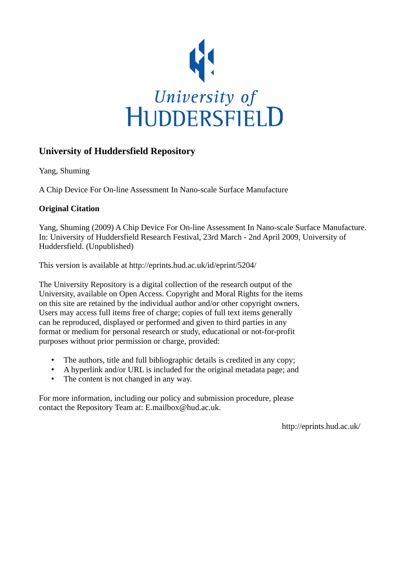

## **University of Huddersfield Repository**

Yang, Shuming

A Chip Device For On-line Assessment In Nano-scale Surface Manufacture

### **Original Citation**

Yang, Shuming (2009) A Chip Device For On-line Assessment In Nano-scale Surface Manufacture. In: University of Huddersfield Research Festival, 23rd March - 2nd April 2009, University of Huddersfield. (Unpublished)

This version is available at http://eprints.hud.ac.uk/id/eprint/5204/

The University Repository is a digital collection of the research output of the University, available on Open Access. Copyright and Moral Rights for the items on this site are retained by the individual author and/or other copyright owners. Users may access full items free of charge; copies of full text items generally can be reproduced, displayed or performed and given to third parties in any format or medium for personal research or study, educational or not-for-profit purposes without prior permission or charge, provided:

- The authors, title and full bibliographic details is credited in any copy;
- A hyperlink and/or URL is included for the original metadata page; and
- The content is not changed in any way.

For more information, including our policy and submission procedure, please contact the Repository Team at: E.mailbox@hud.ac.uk.

http://eprints.hud.ac.uk/